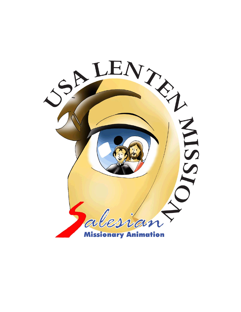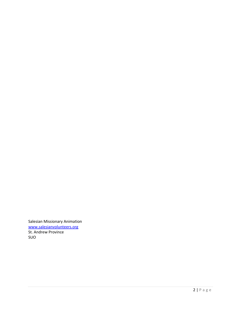Salesian Missionary Animation www.salesianvolunteers.org St. Andrew Province SUO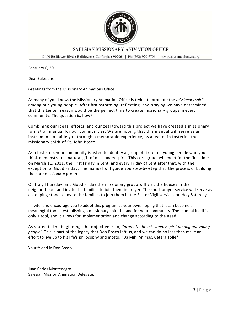

#### SAELSIAN MISSIONARY ANIMATION OFFICE

13400 Bellflower Blvd • Bellflower • California • 90706 | Ph: (562) 920-7796 | www.salesianvolunters.org

February 6, 2011

Dear Salesians,

Greetings from the Missionary Animations Office!

As many of you know, the Missionary Animation Office is trying to promote the *missionary spirit* among our young people. After brainstorming, reflecting, and praying we have determined that this Lenten season would be the perfect time to create missionary groups in every community. The question is, how?

Combining our ideas, efforts, and our zeal toward this project we have created a missionary formation manual for our communities. We are hoping that this manual will serve as an instrument to guide you through a memorable experience, as a leader in fostering the missionary spirit of St. John Bosco.

As a first step, your community is asked to identify a group of six to ten young people who you think demonstrate a natural gift of missionary spirit. This core group will meet for the first time on March 11, 2011, the First Friday in Lent, and every Friday of Lent after that, with the exception of Good Friday. The manual will guide you step‐by‐step thru the process of building the core missionary group.

On Holy Thursday, and Good Friday the missionary group will visit the houses in the neighborhood, and invite the families to join them in prayer. The short prayer service will serve as a stepping stone to invite the families to join them in the Easter Vigil services on Holy Saturday.

I invite, and encourage you to adopt this program as your own, hoping that it can become a meaningful tool in establishing a missionary spirit in, and for your community. The manual itself is only a tool, and it allows for implementation and change according to the need.

As stated in the beginning, the objective is to, *"promote the missionary spirit among our young people".* This is part of the legacy that Don Bosco left us, and we can do no less than make an effort to live up to his life's philosophy and motto, "Da Mihi Animas, Cetera Tolle"

Your friend in Don Bosco

Juan Carlos Montenegro Salesian Mission Animation Delegate.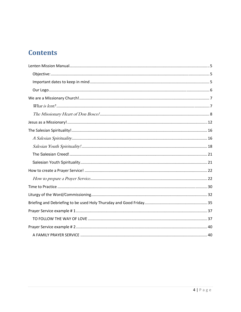# **Contents**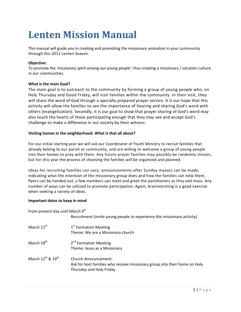# **Lenten Mission Manual**

This manual will guide you in creating and promoting the missionary animation in your community through this 2011 Lenten Season.

#### **Objective:**

To promote the *'missionary spirit among our young people',* thus creating a missionary / vocation culture in our communities.

#### **What is the main Goal?**

The main goal is to outreach to the community by forming a group of young people who, on Holy Thursday and Good Friday, will visit families within the community. In their visit, they will share the word of God through a specially prepared prayer service. It is our hope that this activity will allow the families to see the importance of hearing and sharing God's word with others (evangelization). Secondly, it is our goal to show that prayer sharing of God's word may also touch the hearts of those participating enough that they may see and accept God's challenge to make a difference in our society by their witness.

#### **Visiting homes in the neighborhood. What is that all about?**

For our initial starting year we will ask our Coordinator of Youth Ministry to recruit families that already belong to our parish or community, and are willing to welcome a group of young people into their homes to pray with them. Any future prayer families may possibly be randomly chosen, but for this year the process of choosing the families will be organized and planned.

Ideas for recruiting families can vary: announcements after Sunday masses can be made, indicating what the intention of the missionary group does and how the families can help them, flyers can be handed out, a few members can meet and greet the parishioners as they exit mass. Any number of ways can be utilized to promote participation. Again, brainstorming is a good exercise when seeking a variety of ideas.

#### **Important dates to keep in mind**

From present day until March 9<sup>th</sup>

Recruitment (invite young people to experience this missionary activity)

| March 11 <sup>th</sup>      | 1 <sup>st</sup> Formation Meeting<br>Theme: We are a Missionary church                                                         |
|-----------------------------|--------------------------------------------------------------------------------------------------------------------------------|
| March 18 <sup>th</sup>      | 2 <sup>nd</sup> Formation Meeting<br>Theme: Jesus as a Missionary                                                              |
| March $12^{th}$ & $19^{th}$ | Church Announcement:<br>Ask for host families who receive missionary group into their home on Holy<br>Thursday and Holy Friday |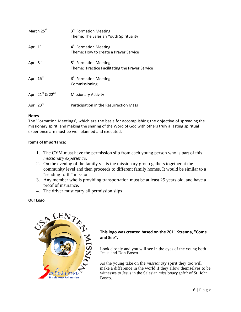| March 25 <sup>th</sup>                    | 3 <sup>rd</sup> Formation Meeting<br>Theme: The Salesian Youth Spirituality          |
|-------------------------------------------|--------------------------------------------------------------------------------------|
| April 1st                                 | 4 <sup>th</sup> Formation Meeting<br>Theme: How to create a Prayer Service           |
| April 8 <sup>th</sup>                     | 5 <sup>th</sup> Formation Meeting<br>Theme: Practice Facilitating the Prayer Service |
| April 15 <sup>th</sup>                    | 6 <sup>th</sup> Formation Meeting<br>Commissioning                                   |
| April 21 <sup>st</sup> & 22 <sup>nd</sup> | <b>Missionary Activity</b>                                                           |
| April 23rd                                | Participation in the Resurrection Mass                                               |

#### **Notes**

The 'Formation Meetings', which are the basis for accomplishing the objective of spreading the missionary spirit, and making the sharing of the Word of God with others truly a lasting spiritual experience are must be well planned and executed.

#### **Items of Importance:**

- 1. The CYM must have the permission slip from each young person who is part of this *missionary experience*.
- 2. On the evening of the family visits the missionary group gathers together at the community level and then proceeds to different family homes. It would be similar to a "sending forth" mission.
- 3. Any member who is providing transportation must be at least 25 years old, and have a proof of insurance.
- 4. The driver must carry all permission slips

#### **Our Logo**



#### **This logo was created based on the 2011 Strenna, "Come and See".**

Look closely and you will see in the eyes of the young both Jesus and Don Bosco.

As the young take on the *missionary* spirit they too will make a difference in the world if they allow themselves to be witnesses to Jesus in the Salesian *missionary spirit* of St. John Bosco.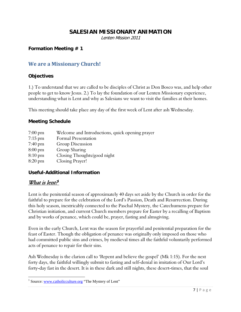# **SALESIAN MISSIONARY ANIMATION**

Lenten Mission 2011

# **Formation Meeting # 1**

# **We are a Missionary Church!**

#### **Objectives**

1.) To understand that we are called to be disciples of Christ as Don Bosco was, and help other people to get to know Jesus. 2.) To lay the foundation of our Lenten Missionary experience, understanding what is Lent and why as Salesians we want to visit the families at their homes.

This meeting should take place any day of the first week of Lent after ash Wednesday.

#### **Meeting Schedule**

| $7:00 \text{ pm}$ | Welcome and Introductions, quick opening prayer |
|-------------------|-------------------------------------------------|
| $7:15 \text{ pm}$ | <b>Formal Presentation</b>                      |
| $7:40 \text{ pm}$ | Group Discussion                                |
| $8:00 \text{ pm}$ | Group Sharing                                   |
| $8:10 \text{ pm}$ | Closing Thoughts/good night                     |
| $8:20 \text{ pm}$ | Closing Prayer!                                 |

#### **Useful-Additional Information**

# What is lent. $1$

Lent is the penitential season of approximately 40 days set aside by the Church in order for the faithful to prepare for the celebration of the Lord's Passion, Death and Resurrection. During this holy season, inextricably connected to the Paschal Mystery, the Catechumens prepare for Christian initiation, and current Church members prepare for Easter by a recalling of Baptism and by works of penance, which could be, prayer, fasting and almsgiving.

Even in the early Church, Lent was the season for prayerful and penitential preparation for the feast of Easter. Though the obligation of penance was originally only imposed on those who had committed public sins and crimes, by medieval times all the faithful voluntarily performed acts of penance to repair for their sins.

Ash Wednesday is the clarion call to 'Repent and believe the gospel' (Mk 1:15). For the next forty days, the faithful willingly submit to fasting and self-denial in imitation of Our Lord's forty-day fast in the desert. It is in these dark and still nights, these desert-times, that the soul

<sup>&</sup>lt;sup>1</sup> Source: www.catholicculture.org "The Mystery of Lent"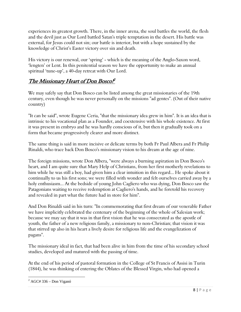experiences its greatest growth. There, in the inner arena, the soul battles the world, the flesh and the devil just as Our Lord battled Satan's triple temptation in the desert. His battle was external, for Jesus could not sin; our battle is interior, but with a hope sustained by the knowledge of Christ's Easter victory over sin and death.

His victory is our renewal, our 'spring' - which is the meaning of the Anglo-Saxon word, 'lengten' or Lent. In this penitential season we have the opportunity to make an annual spiritual 'tune-up', a 40-day retreat with Our Lord.

# The Missionary Heart of Don Bosco.<sup> $\rho$ </sup>

We may safely say that Don Bosco can be listed among the great missionaries of the 19th century, even though he was never personally on the missions "ad gentes". (Out of their native country)

"It can be said", wrote Eugene Ceria, "that the missionary idea grew in him". It is an idea that is intrinsic to his vocational plan as a Founder, and coextensive with his whole existence. At first it was present in embryo and he was hardly conscious of it, but then it gradually took on a form that became progressively clearer and more distinct.

The same thing is said in more incisive or delicate terms by both Fr Paul Albera and Fr Philip Rinaldi, who trace back Don Bosco's missionary vision to his dream at the age of nine.

The foreign missions, wrote Don Albera, "were always a burning aspiration in Don Bosco's heart, and I am quite sure that Mary Help of Christians, from her first motherly revelations to him while he was still a boy, had given him a clear intuition in this regard... He spoke about it continually to us his first sons; we were filled with wonder and felt ourselves carried away by a holy enthusiasm... At the bedside of young John Cagliero who was dying, Don Bosco saw the Patagonians waiting to receive redemption at Cagliero's hands, and he foretold his recovery and revealed in part what the future had in store for him".

And Don Rinaldi said in his turn: "In commemorating that first dream of our venerable Father we have implicitly celebrated the centenary of the beginning of the whole of Salesian work; because we may say that it was in that first vision that he was consecrated as the apostle of youth, the father of a new religious family, a missionary to non-Christian; that vision it was that stirred up also in his heart a lively desire for religious life and the evangelization of pagans".

The missionary ideal in fact, that had been alive in him from the time of his secondary school studies, developed and matured with the passing of time.

At the end of his period of pastoral formation in the College of St Francis of Assisi in Turin (1844), he was thinking of entering the Oblates of the Blessed Virgin, who had opened a

  $2$  AGC# 336 – Don Viganó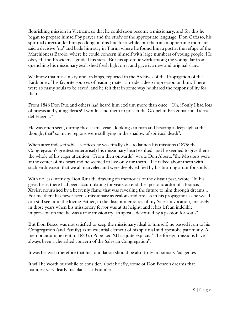flourishing mission in Vietnam, so that he could soon become a missionary, and for this he began to prepare himself by prayer and the study of the appropriate language. Don Cafasso, his spiritual director, let him go along on this line for a while, but then at an opportune moment said a decisive "no" and bade him stay in Turin, where he found him a post at the refuge of the Marchioness Barolo, where he could concern himself with large numbers of young people. He obeyed, and Providence guided his steps. But his apostolic work among the young, far from quenching his missionary zeal, shed fresh light on it and gave it a new and original slant.

We know that missionary undertakings, reported in the Archives of the Propagation of the Faith one of his favorite sources of reading material made a deep impression on him. There were so many souls to be saved, and he felt that in some way he shared the responsibility for them.

From 1848 Don Rua and others had heard him exclaim more than once: "Oh, if only I had lots of priests and young clerics! I would send them to preach the Gospel in Patagonia and Tierra del Fuego..."

He was often seen, during those same years, looking at a map and heaving a deep sigh at the thought that" so many regions were still lying in the shadow of spiritual death".

When after indescribable sacrifices he was finally able to launch his missions (1875: the Congregation's greatest enterprise!) his missionary heart exulted, and he seemed to give them the whole of his eager attention: "From then onwards", wrote Don Albera, "the Missions were at the center of his heart and he seemed to live only for them... He talked about them with such enthusiasm that we all marveled and were deeply edified by his burning ardor for souls".

With no less intensity Don Rinaldi, drawing on memories of the distant past, wrote: "In his great heart there had been accumulating for years on end the apostolic ardor of a Francis Xavier, nourished by a heavenly flame that was revealing the future to him through dreams... For me there has never been a missionary as zealous and tireless in his propaganda as he was. I can still see him, the loving Father, in the distant memories of my Salesian vocation, precisely in those years when his missionary fervor was at its height; and it has left an indelible impression on me: he was a true missionary, an apostle devoured by a passion for souls".

But Don Bosco was not satisfied to keep the missionary ideal to himself; he passed it on to his Congregation (and Family) as an essential element of his spiritual and apostolic patrimony. A memorandum he sent in 1880 to Pope Leo XII is quite explicit: "The foreign missions have always been a cherished concern of the Salesian Congregation".

It was his wish therefore that his foundation should be also truly missionary "ad gentes".

It will be worth our while to consider, albeit briefly, some of Don Bosco's dreams that manifest very dearly his plans as a Founder.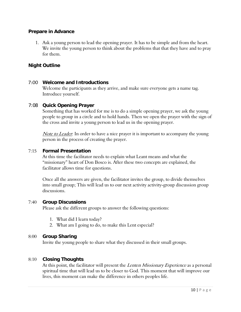#### **Prepare in Advance**

1. Ask a young person to lead the opening prayer. It has to be simple and from the heart. We invite the young person to think about the problems that that they have and to pray for them.

#### **Night Outline**

#### 7:00 **Welcome and Introductions**

Welcome the participants as they arrive, and make sure everyone gets a name tag. Introduce yourself.

#### 7:08 **Quick Opening Prayer**

Something that has worked for me is to do a simple opening prayer, we ask the young people to group in a circle and to hold hands. Then we open the prayer with the sign of the cross and invite a young person to lead us in the opening prayer.

Note to Leader: In order to have a nice prayer it is important to accompany the young person in the process of creating the prayer.

#### 7:15 **Formal Presentation**

At this time the facilitator needs to explain what Leant means and what the "missionary" heart of Don Bosco is. After these two concepts are explained, the facilitator allows time for questions.

Once all the answers are given, the facilitator invites the group, to divide themselves into small group; This will lead us to our next activity activity-group discussion group discussions.

#### 7:40 **Group Discussions**

Please ask the different groups to answer the following questions:

- 1. What did I learn today?
- 2. What am I going to do, to make this Lent especial?

#### 8:00 **Group Sharing**

Invite the young people to share what they discussed in their small groups.

#### 8:10 **Closing Thoughts**

At this point, the facilitator will present the *Lenten Missionary Experience* as a personal spiritual time that will lead us to be closer to God. This moment that will improve our lives, this moment can make the difference in others peoples life.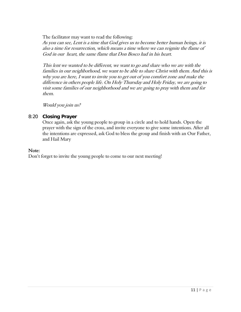The facilitator may want to read the following:

As you can see, Lent is a time that God gives us to become better human beings, it is also a time for resurrection, which means a time where we can reignite the flame of God in our heart, the same flame that Don Bosco had in his heart.

This lent we wanted to be different, we want to go and share who we are with the families in our neighborhood, we want to be able to share Christ with them. And this is why you are here, I want to invite you to get out of you comfort zone and make the difference in others people life. On Holy Thursday and Holy Friday, we are going to visit some families of our neighborhood and we are going to pray with them and for them.

Would you join us?

## 8:20 **Closing Prayer**

Once again, ask the young people to group in a circle and to hold hands. Open the prayer with the sign of the cross, and invite everyone to give some intentions. After all the intentions are expressed, ask God to bless the group and finish with an Our Father, and Hail Mary

#### Note:

Don't forget to invite the young people to come to our next meeting!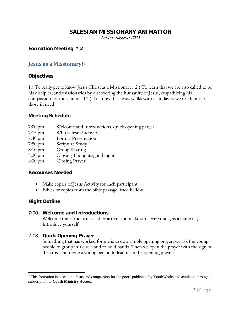# **SALESIAN MISSIONARY ANIMATION**

Lenten Mission 2011

# **Formation Meeting # 2**

# **Jesus as a Missionary!3**

#### **Objectives**

1.) To really get to know Jesus Christ as a Missionary; 2.) To learn that we are also called to be his disciples, and missionaries by discovering the humanity of Jesus, empathizing his compassion for those in need 3.) To know that Jesus walks with us today as we reach out to those in need.

#### **Meeting Schedule**

| $7:00 \text{ pm}$ | Welcome and Introductions, quick opening prayer |
|-------------------|-------------------------------------------------|
| $7:15$ pm         | Who is Jesus? activity                          |
| $7:40 \text{ pm}$ | <b>Formal Presentation</b>                      |
| $7:50 \text{ pm}$ | Scripture Study                                 |
| $8:10 \text{ pm}$ | Group Sharing                                   |
| $8:20 \text{ pm}$ | Closing Thoughts/good night                     |
| 8:30 pm           | Closing Prayer!                                 |

#### **Recourses Needed**

- Make copies of Jesus Activity for each participant
- Bibles or copies from the bible passage listed bellow

#### **Night Outline**

7:00 **Welcome and Introductions**  Welcome the participants as they arrive, and make sure everyone gets a name tag. Introduce yourself.

# 7:08 **Quick Opening Prayer**

Something that has worked for me is to do a simple opening prayer, we ask the young people to group in a circle and to hold hands. Then we open the prayer with the sign of the cross and invite a young person to lead us in the opening prayer.

 $3$  This formation is based on "Jesus and compassion for the poor" published by YouthWorks and available through a subscription to **Youth Ministry Access**.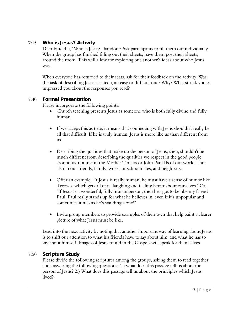# 7:15 **Who is Jesus? Activity**

Distribute the, "Who is Jesus?" handout: Ask participants to fill them out individually. When the group has finished filling out their sheets, have them post their sheets, around the room. This will allow for exploring one another's ideas about who Jesus was.

When everyone has returned to their seats, ask for their feedback on the activity. Was the task of describing Jesus as a teen, an easy or difficult one? Why? What struck you or impressed you about the responses you read?

## 7:40 **Formal Presentation**

Please incorporate the following points:

- Church teaching presents Jesus as someone who is both fully divine and fully human.
- If we accept this as true, it means that connecting with Jesus shouldn't really be all that difficult. If he is truly human, Jesus is more like us than different from  $11S<sub>1</sub>$
- Describing the qualities that make up the person of Jesus, then, shouldn't be much different from describing the qualities we respect in the good people around us-not just in the Mother Teresas or John Paul IIs of our world—but also in our friends, family, work- or schoolmates, and neighbors.
- Offer an example, "If Jesus is really human, he must have a sense of humor like Teresa's, which gets all of us laughing and feeling better about ourselves." Or, "If Jesus is a wonderful, fully human person, then he's got to be like my friend Paul. Paul really stands up for what he believes in, even if it's unpopular and sometimes it means he's standing alone!"
- Invite group members to provide examples of their own that help paint a clearer picture of what Jesus must be like.

Lead into the next activity by noting that another important way of learning about Jesus is to shift our attention to what his friends have to say about him, and what he has to say about himself. Images of Jesus found in the Gospels will speak for themselves.

# 7:50 **Scripture Study**

Please divide the following scriptures among the groups, asking them to read together and answering the following questions: 1.) what does this passage tell us about the person of Jesus? 2.) What does this passage tell us about the principles which Jesus lived?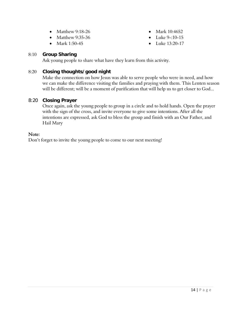- $\bullet$  Matthew 9:18-26
- Matthew 9:35-36
- Mark 1:50-45
- Mark 10:4652
- $\bullet$  Luke 9-:10-15
- Luke 13:20-17

# 8:10 **Group Sharing**

Ask young people to share what have they learn from this activity.

# 8:20 **Closing thoughts/good night**

Make the connection on how Jesus was able to serve people who were in need, and how we can make the difference visiting the families and praying with them. This Lenten season will be different; will be a moment of purification that will help us to get closer to God...

# 8:20 **Closing Prayer**

Once again, ask the young people to group in a circle and to hold hands. Open the prayer with the sign of the cross, and invite everyone to give some intentions. After all the intentions are expressed, ask God to bless the group and finish with an Our Father, and Hail Mary

## Note:

Don't forget to invite the young people to come to our next meeting!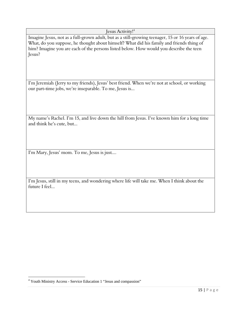| Jesus Activity! <sup>4</sup>                                                                                                                                                                                                                                                                      |
|---------------------------------------------------------------------------------------------------------------------------------------------------------------------------------------------------------------------------------------------------------------------------------------------------|
| Imagine Jesus, not as a full-grown adult, but as a still-growing teenager, 15 or 16 years of age.<br>What, do you suppose, he thought about himself? What did his family and friends thing of<br>him? Imagine you are each of the persons listed below. How would you describe the teen<br>Jesus? |
| I'm Jeremiah (Jerry to my friends), Jesus' best friend. When we're not at school, or working<br>our part-time jobs, we're inseparable. To me, Jesus is                                                                                                                                            |
| My name's Rachel. I'm 15, and live down the hill from Jesus. I've known him for a long time<br>and think he's cute, but                                                                                                                                                                           |
| I'm Mary, Jesus' mom. To me, Jesus is just                                                                                                                                                                                                                                                        |
| I'm Jesus, still in my teens, and wondering where life will take me. When I think about the<br>future I feel                                                                                                                                                                                      |

 4 Youth Ministry Access - Service Education 1 "Jesus and compassion"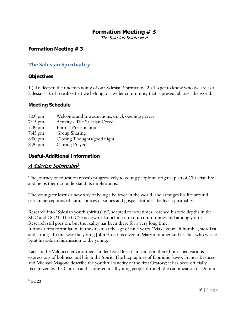# **Formation Meeting # 3**

The Salesian Spirituality!

## **Formation Meeting # 3**

# **The Salesian Spirituality!**

#### **Objectives**

1.) To deepen the understanding of our Salesian Spirituality. 2.) To get to know who we are as a Salesians. 3.) To realize that we belong to a wider community that is present all over the world.

#### **Meeting Schedule**

| $7:00 \text{ pm}$ | Welcome and Introductions, quick opening prayer |
|-------------------|-------------------------------------------------|
| $7:15 \text{ pm}$ | Activity - The Salesian Creed                   |
| $7:30 \text{ pm}$ | <b>Formal Presentation</b>                      |
| $7:45$ pm         | Group Sharing                                   |
| $8:00 \text{ pm}$ | Closing Thoughts/good night                     |
| $8:20 \text{ pm}$ | Closing Prayer!                                 |

#### **Useful-Additional Information**

# A Salesian Spirituality<sup>5</sup>

The journey of education reveals progressively to young people an original plan of Christian life and helps them to understand its implications.

The youngster learns a new way of being a believer in the world, and arranges his life around certain perceptions of faith, choices of values and gospel attitudes: he lives spirituality.

Research into "Salesian youth spirituality", adapted to new times, reached historic depths in the SGC and GC21. The GC23 is now re-launching it in our communities and among youth. Research still goes on, but the reality has been there for a very long time. It finds a first formulation in the dream at the age of nine years. "Make yourself humble, steadfast and strong". In this way the young John Bosco received in Mary a mother and teacher who was to be at his side in his mission to the young.

Later in the Valdocco environment under Don Bosco's inspiration there flourished various expressions of holiness and life in the Spirit. The biographies of Dominic Savio, Francis Besucco and Michael Magone describe the youthful sanctity of the first Oratory; it has been officially recognized by the Church and is offered to all young people through the canonization of Dominic

  $5$  GC 23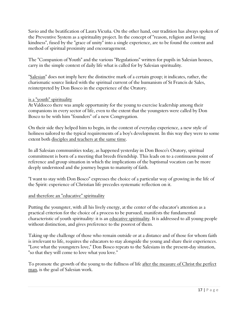Savio and the beatification of Laura Vicuña. On the other hand, our tradition has always spoken of the Preventive System as a spirituality project. In the concept of "reason, religion and loving kindness", fused by the "grace of unity" into a single experience, are to be found the content and method of spiritual proximity and encouragement.

The "Companion of Youth" and the various "Regulations" written for pupils in Salesian houses, carry in the simple context of daily life what is called for by Salesian spirituality.

"Salesian" does not imply here the distinctive mark of a certain group; it indicates, rather, the charismatic source linked with the spiritual current of the humanism of St Francis de Sales, reinterpreted by Don Bosco in the experience of the Oratory.

## is a "youth" spirituality

At Valdocco there was ample opportunity for the young to exercise leadership among their companions in every sector of life, even to the extent that the youngsters were called by Don Bosco to be with him "founders" of a new Congregation.

On their side they helped him to begin, in the context of everyday experience, a new style of holiness tailored to the typical requirements of a boy's development. In this way they were to some extent both disciples and teachers at the same time.

In all Salesian communities today, as happened yesterday in Don Bosco's Oratory, spiritual commitment is born of a meeting that breeds friendship. This leads on to a continuous point of reference and group situation in which the implications of the baptismal vocation can be more deeply understood and the journey begun to maturity of faith.

"I want to stay with Don Bosco" expresses the choice of a particular way of growing in the life of the Spirit: experience of Christian life precedes systematic reflection on it.

# and therefore an "educative" spirituality

Putting the youngster, with all his lively energy, at the center of the educator's attention as a practical criterion for the choice of a process to be pursued, manifests the fundamental characteristic of youth spirituality: it is an educative spirituality. It is addressed to all young people without distinction, and gives preference to the poorest of them.

Taking up the challenge of those who remain outside or at a distance and of those for whom faith is irrelevant to life, requires the educators to stay alongside the young and share their experiences. "Love what the youngsters love," Don Bosco repeats to the Salesians in the present-day situation, "so that they will come to love what you love."

To promote the growth of the young to the fullness of life after the measure of Christ the perfect man, is the goal of Salesian work.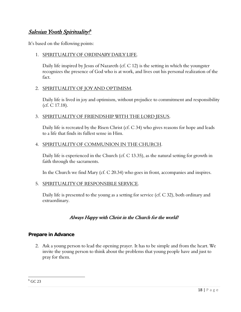# Salesian Youth Spirituality!<sup>6</sup>

It's based on the following points:

## 1. SPIRITUALITY OF ORDINARY DAILY LIFE.

Daily life inspired by Jesus of Nazareth (cf. C 12) is the setting in which the youngster recognizes the presence of God who is at work, and lives out his personal realization of the fact.

## 2. SPIRITUALITY OF JOY AND OPTIMISM.

Daily life is lived in joy and optimism, without prejudice to commitment and responsibility (cf. C 17.18).

## 3. SPIRITUALITY OF FRIENDSHIP WITH THE LORD JESUS.

Daily life is recreated by the Risen Christ (cf. C 34) who gives reasons for hope and leads to a life that finds its fullest sense in Him.

## 4. SPIRITUALITY OF COMMUNION IN THE CHURCH.

Daily life is experienced in the Church (cf. C 13.35), as the natural setting for growth in faith through the sacraments.

In the Church we find Mary (cf. C 20.34) who goes in front, accompanies and inspires.

#### 5. SPIRITUALITY OF RESPONSIBLE SERVICE.

Daily life is presented to the young as a setting for service (cf. C 32), both ordinary and extraordinary.

# Always Happy with Christ in the Church for the world!

#### **Prepare in Advance**

2. Ask a young person to lead the opening prayer. It has to be simple and from the heart. We invite the young person to think about the problems that young people have and just to pray for them.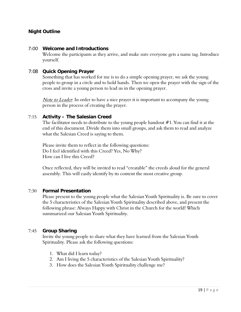# **Night Outline**

#### 7:00 **Welcome and Introductions**

Welcome the participants as they arrive, and make sure everyone gets a name tag. Introduce yourself.

#### 7:08 **Quick Opening Prayer**

Something that has worked for me is to do a simple opening prayer, we ask the young people to group in a circle and to hold hands. Then we open the prayer with the sign of the cross and invite a young person to lead us in the opening prayer.

Note to Leader. In order to have a nice prayer it is important to accompany the young person in the process of creating the prayer.

#### 7:15 **Activity – The Salesian Creed**

The facilitator needs to distribute to the young people handout #1. You can find it at the end of this document. Divide them into small groups, and ask them to read and analyze what the Salesian Creed is saying to them.

Please invite them to reflect in the following questions: Do I feel identified with this Creed? Yes, No Why? How can I live this Creed?

Once reflected, they will be invited to read "creatable" the creeds aloud for the general assembly. This will easily identify by its content the most creative group.

#### 7:30 **Formal Presentation**

Please present to the young people what the Salesian Youth Spirituality is. Be sure to cover the 5 characteristics of the Salesian Youth Spirituality described above, and present the following phrase: Always Happy with Christ in the Church for the world! Which summarized our Salesian Youth Spirituality.

#### 7:45 **Group Sharing**

Invite the young people to share what they have learned from the Salesian Youth Spirituality. Please ask the following questions:

- 1. What did I learn today?
- 2. Am I living the 5 characteristics of the Salesian Youth Spirituality?
- 3. How does the Salesian Youth Spirituality challenge me?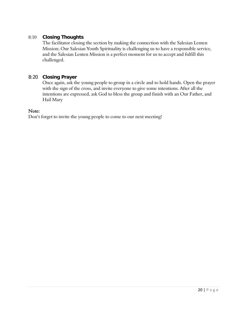## 8:10 **Closing Thoughts**

The facilitator closing the section by making the connection with the Salesian Lenten Mission; Our Salesian Youth Spirituality is challenging us to have a responsible service, and the Salesian Lenten Mission is a perfect moment for us to accept and fulfill this challenged.

#### 8:20 **Closing Prayer**

Once again, ask the young people to group in a circle and to hold hands. Open the prayer with the sign of the cross, and invite everyone to give some intentions. After all the intentions are expressed, ask God to bless the group and finish with an Our Father, and Hail Mary

#### Note:

Don't forget to invite the young people to come to our next meeting!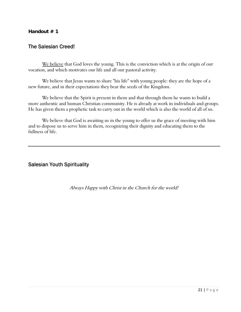## **Handout # 1**

# The Salesian Creed!

We believe that God loves the young. This is the conviction which is at the origin of our vocation, and which motivates our life and all our pastoral activity.

We believe that Jesus wants to share "his life" with young people: they are the hope of a new future, and in their expectations they bear the seeds of the Kingdom.

We believe that the Spirit is present in them and that through them he wants to build a more authentic and human Christian community. He is already at work in individuals and groups. He has given them a prophetic task to carry out in the world which is also the world of all of us.

We believe that God is awaiting us in the young to offer us the grace of meeting with him and to dispose us to serve him in them, recognizing their dignity and educating them to the fullness of life.

Salesian Youth Spirituality

Always Happy with Christ in the Church for the world!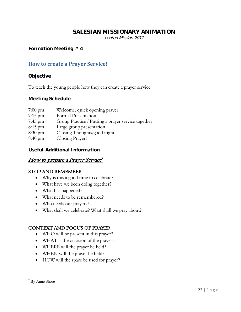# **SALESIAN MISSIONARY ANIMATION**

Lenten Mission 2011

## **Formation Meeting # 4**

# **How to create a Prayer Service!**

#### **Objective**

To teach the young people how they can create a prayer service

#### **Meeting Schedule**

| $7:00 \text{ pm}$ | Welcome, quick opening prayer                      |
|-------------------|----------------------------------------------------|
| $7:15$ pm         | <b>Formal Presentation</b>                         |
| $7:45$ pm         | Group Practice / Putting a prayer service together |
| $8:15 \text{ pm}$ | Large group presentation                           |
| 8:30 pm           | Closing Thoughts/good night                        |

8:40 pm Closing Prayer!

#### **Useful-Additional Information**

# How to prepare a Prayer Service<sup>7</sup>

#### STOP AND REMEMBER

- Why is this a good time to celebrate?
- What have we been doing together?
- What has happened?
- What needs to be remembered?
- Who needs our prayers?
- What shall we celebrate? What shall we pray about?

#### CONTEXT AND FOCUS OF PRAYER

- WHO will be present in this prayer?
- WHAT is the occasion of the prayer?
- WHERE will the prayer be held?
- WHEN will the prayer be held?
- HOW will the space be used for prayer?

<sup>7</sup> By Anne Shore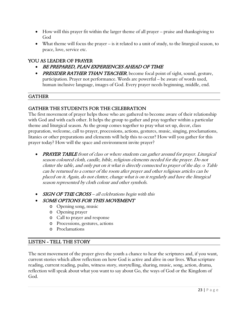- How will this prayer fit within the larger theme of all prayer praise and thanksgiving to God
- What theme will focus the prayer is it related to a unit of study, to the liturgical season, to peace, love, service etc.

# YOU AS LEADER OF PRAYER

- BE PREPARED, PLAN EXPERIENCES AHEAD OF TIME
- PRESIDER RATHER THAN TEACHER, become focal point of sight, sound, gesture, participation. Prayer not performance. Words are powerful – be aware of words used, human inclusive language, images of God. Every prayer needs beginning, middle, end.

# **GATHER**

## GATHER THE STUDENTS FOR THE CELEBRATION

The first movement of prayer helps those who are gathered to become aware of their relationship with God and with each other. It helps the group to gather and pray together within a particular theme and liturgical season. As the group comes together to pray what set up, decor, class preparation, welcome, call to prayer, processions, actions, gestures, music, singing, proclamations, litanies or other preparations and elements will help this to occur? How will you gather for this prayer today? How will the space and environment invite prayer?

- PRAYER TABLE front of class or where students can gather around for prayer. Liturgical season coloured cloth, candle, bible, religious elements needed for the prayer. Do not clutter the table, and only put on it what is directly connected to prayer of the day. o Table can be returned to a corner of the room after prayer and other religious articles can be placed on it. Again, do not clutter, change what is on it regularly and have the liturgical season represented by cloth colour and other symbols.
- SIGN OF THE CROSS all celebrations begin with this

# • SOME OPTIONS FOR THIS MOVEMENT

- o Opening song, music
- o Opening prayer
- o Call to prayer and response
- o Processions, gestures, actions
- o Proclamations

# LISTEN - TELL THE STORY

The next movement of the prayer gives the youth a chance to hear the scriptures and, if you want, current stories which allow reflection on how God is active and alive in our lives. What scripture reading, current reading, psalm, witness story, storytelling, sharing, music, song, action, drama, reflection will speak about what you want to say about Go, the ways of God or the Kingdom of God.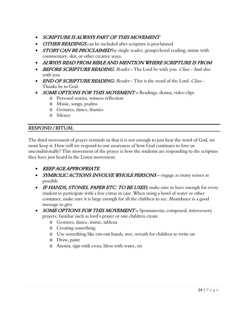- **SCRIPTURE IS ALWAYS PART OF THIS MOVEMENT**
- OTHER READINGS can be included after scripture is proclaimed
- STORY CAN BE PROCLAIMED by single reader, group/choral reading, mime with commentary, skit, or other creative ways.
- ALWAYS READ FROM BIBLE AND MENTION WHERE SCRIPTURE IS FROM
- BEFORE SCRIPTURE READING: Reader The Lord be with you. Class And also with you.
- END OF SCRIPTURE READING: Reader This is the word of the Lord. Class Thanks be to God.
- SOME OPTIONS FOR THIS MOVEMENT o Readings, drama, video clips
	- o Personal stories, witness reflection
	- o Music, songs, psalms
	- o Gestures, dance, litanies
	- o Silence

# RESPOND / RITUAL

The third movement of prayer reminds us that it is not enough to just hear the word of God, we must keep it. How will we respond to our awareness of how God continues to love us unconditionally? This movement of the prayer is how the students are responding to the scripture they have just heard in the Listen movement.

- KEEP AGE APPROPRIATE
- SYMBOLIC ACTIONS INVOLVE WHOLE PERSONS engage as many senses as possible
- IF HANDS, STONES, PAPER ETC. TO BE USED, make sure to have enough for every student to participate with a few extras in case. When using a bowl of water or other container, make sure it is large enough for all the children to see. Abundance is a good message to give
- SOME OPTIONS FOR THIS MOVEMENT o Spontaneous, composed, intercessory prayers; familiar such as lord's prayer or one children create
	- o Gestures, dance, mime, tableau
	- o Creating something
	- o Use something like cut-out hands, tree, wreath for children to write on
	- o Draw, paint
	- o Anoint, sign with cross, bless with water, etc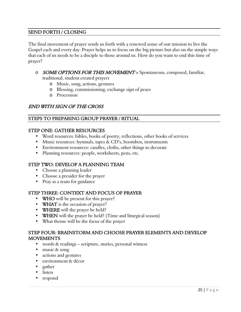# SEND FORTH / CLOSING

The final movement of prayer sends us forth with a renewed sense of our mission to live the Gospel each and every day. Prayer helps us to focus on the big picture but also on the simple ways that each of us needs to be a disciple to those around us. How do you want to end this time of prayer?

o SOME OPTIONS FOR THIS MOVEMENT o Spontaneous, composed, familiar,

traditional, student created prayers

- o Music, song, actions, gestures
- o Blessing, commissioning, exchange sign of peace
- o Procession

# END WITH SIGN OF THE CROSS

## STEPS TO PREPARING GROUP PRAYER / RITUAL

## STEP ONE: GATHER RESOURCES

- Word resources: bibles, books of poetry, reflections, other books of services
- Music resources: hymnals, tapes & CD's, boombox, instruments
- Environment resources: candles, cloths, other things to decorate
- Planning resources: people, worksheets, pens, etc.

# STEP TWO: DEVELOP A PLANNING TEAM

- Choose a planning leader
- Choose a presider for the prayer
- Pray as a team for guidance

#### STEP THREE: CONTEXT AND FOCUS OF PRAYER

- WHO will be present for this prayer?
- WHAT is the occasion of prayer?
- WHERE will the prayer be held?
- WHEN will the prayer be held? (Time and liturgical season)
- What theme will be the focus of the prayer

#### STEP FOUR: BRAINSTORM AND CHOOSE PRAYER ELEMENTS AND DEVELOP **MOVEMENTS**

- words & readings scripture, stories, personal witness
- music & song
- actions and gestures
- environment & décor
- gather
- listen
- respond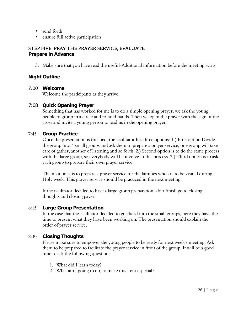- send forth
- ensure full active participation

## STEP FIVE: PRAY THE PRAYER SERVICE, EVALUATE **Prepare in Advance**

3. Make sure that you have read the useful-Additional information before the meeting starts

#### **Night Outline**

#### 7:00 **Welcome**

Welcome the participants as they arrive.

#### 7:08 **Quick Opening Prayer**

Something that has worked for me is to do a simple opening prayer, we ask the young people to group in a circle and to hold hands. Then we open the prayer with the sign of the cross and invite a young person to lead us in the opening prayer.

#### 7:45 **Group Practice**

Once the presentation is finished, the facilitator has three options: 1.) First option Divide the group into 4 small groups and ask them to prepare a prayer service; one group will take care of gather, another of listening and so forth. 2.) Second option is to do the same process with the large group, so everybody will be involve in this process. 3.) Third option is to ask each group to prepare their own prayer service.

The main idea is to prepare a prayer service for the families who are to be visited during Holy week. This prayer service should be practiced in the next meeting.

If the facilitator decided to have a large group preparation, after finish go to closing thoughts and closing payer.

#### 8:15 **Large Group Presentation**

In the case that the facilitator decided to go ahead into the small groups, here they have the time to present what they have been working on. The presentation should explain the order of prayer service.

#### 8:30 **Closing Thoughts**

Please make sure to empower the young people to be ready for next week's meeting. Ask them to be prepared to facilitate the prayer service in front of the group. It will be a good time to ask the following questions:

- 1. What did I learn today?
- 2. What am I going to do, to make this Lent especial?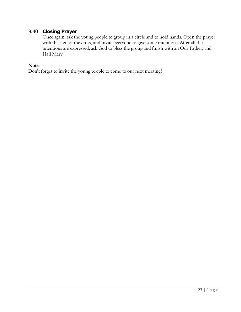# 8:40 **Closing Prayer**

Once again, ask the young people to group in a circle and to hold hands. Open the prayer with the sign of the cross, and invite everyone to give some intentions. After all the intentions are expressed, ask God to bless the group and finish with an Our Father, and Hail Mary

# Note:

Don't forget to invite the young people to come to our next meeting!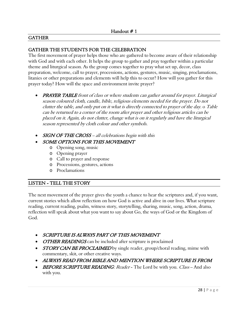#### **GATHER**

# GATHER THE STUDENTS FOR THE CELEBRATION

The first movement of prayer helps those who are gathered to become aware of their relationship with God and with each other. It helps the group to gather and pray together within a particular theme and liturgical season. As the group comes together to pray what set up, decor, class preparation, welcome, call to prayer, processions, actions, gestures, music, singing, proclamations, litanies or other preparations and elements will help this to occur? How will you gather for this prayer today? How will the space and environment invite prayer?

- PRAYER TABLE front of class or where students can gather around for prayer. Liturgical season coloured cloth, candle, bible, religious elements needed for the prayer. Do not clutter the table, and only put on it what is directly connected to prayer of the day. o Table can be returned to a corner of the room after prayer and other religious articles can be placed on it. Again, do not clutter, change what is on it regularly and have the liturgical season represented by cloth colour and other symbols.
- SIGN OF THE CROSS all celebrations begin with this

## SOME OPTIONS FOR THIS MOVEMENT

- o Opening song, music
- o Opening prayer
- o Call to prayer and response
- o Processions, gestures, actions
- o Proclamations

# LISTEN - TELL THE STORY

The next movement of the prayer gives the youth a chance to hear the scriptures and, if you want, current stories which allow reflection on how God is active and alive in our lives. What scripture reading, current reading, psalm, witness story, storytelling, sharing, music, song, action, drama, reflection will speak about what you want to say about Go, the ways of God or the Kingdom of God.

- SCRIPTURE IS ALWAYS PART OF THIS MOVEMENT
- OTHER READINGS can be included after scripture is proclaimed
- STORY CAN BE PROCLAIMED by single reader, group/choral reading, mime with commentary, skit, or other creative ways.
- ALWAYS READ FROM BIBLE AND MENTION WHERE SCRIPTURE IS FROM
- BEFORE SCRIPTURE READING: Reader The Lord be with you. Class And also with you.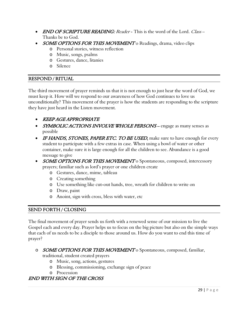- END OF SCRIPTURE READING: Reader This is the word of the Lord. Class Thanks be to God.
- SOME OPTIONS FOR THIS MOVEMENT o Readings, drama, video clips
	- o Personal stories, witness reflection
	- o Music, songs, psalms
	- o Gestures, dance, litanies
	- o Silence

# RESPOND / RITUAL

The third movement of prayer reminds us that it is not enough to just hear the word of God, we must keep it. How will we respond to our awareness of how God continues to love us unconditionally? This movement of the prayer is how the students are responding to the scripture they have just heard in the Listen movement.

- KEEP AGE APPROPRIATE
- SYMBOLIC ACTIONS INVOLVE WHOLE PERSONS engage as many senses as possible
- IF HANDS, STONES, PAPER ETC. TO BE USED, make sure to have enough for every student to participate with a few extras in case. When using a bowl of water or other container, make sure it is large enough for all the children to see. Abundance is a good message to give

• SOME OPTIONS FOR THIS MOVEMENT o Spontaneous, composed, intercessory prayers; familiar such as lord's prayer or one children create

- o Gestures, dance, mime, tableau
- o Creating something
- o Use something like cut-out hands, tree, wreath for children to write on
- o Draw, paint
- o Anoint, sign with cross, bless with water, etc

# SEND FORTH / CLOSING

The final movement of prayer sends us forth with a renewed sense of our mission to live the Gospel each and every day. Prayer helps us to focus on the big picture but also on the simple ways that each of us needs to be a disciple to those around us. How do you want to end this time of prayer?

- o SOME OPTIONS FOR THIS MOVEMENT o Spontaneous, composed, familiar, traditional, student created prayers
	- o Music, song, actions, gestures
	- o Blessing, commissioning, exchange sign of peace
	- o Procession

# END WITH SIGN OF THE CROSS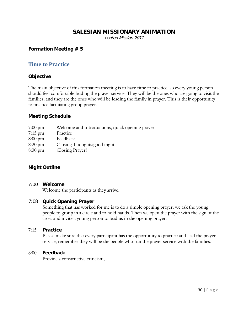# **SALESIAN MISSIONARY ANIMATION**

Lenten Mission 2011

#### **Formation Meeting # 5**

#### **Time to Practice**

#### **Objective**

The main objective of this formation meeting is to have time to practice, so every young person should feel comfortable leading the prayer service. They will be the ones who are going to visit the families, and they are the ones who will be leading the family in prayer. This is their opportunity to practice facilitating group prayer.

#### **Meeting Schedule**

| $7:00 \text{ pm}$ | Welcome and Introductions, quick opening prayer |
|-------------------|-------------------------------------------------|
| $7:15 \text{ pm}$ | Practice                                        |
| $8:00 \text{ pm}$ | Feedback                                        |
| $8:20 \text{ pm}$ | Closing Thoughts/good night                     |
| $8:30 \text{ pm}$ | Closing Prayer!                                 |

#### **Night Outline**

#### 7:00 **Welcome**

Welcome the participants as they arrive.

#### 7:08 **Quick Opening Prayer**

Something that has worked for me is to do a simple opening prayer, we ask the young people to group in a circle and to hold hands. Then we open the prayer with the sign of the cross and invite a young person to lead us in the opening prayer.

#### 7:15 **Practice**

Please make sure that every participant has the opportunity to practice and lead the prayer service, remember they will be the people who run the prayer service with the families.

#### 8:00 **Feedback**

Provide a constructive criticism,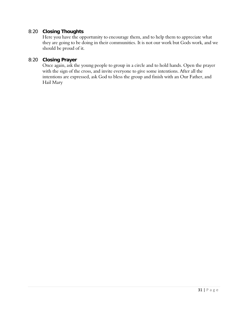## 8:20 **Closing Thoughts**

Here you have the opportunity to encourage them, and to help them to appreciate what they are going to be doing in their communities. It is not our work but Gods work, and we should be proud of it.

## 8:20 **Closing Prayer**

Once again, ask the young people to group in a circle and to hold hands. Open the prayer with the sign of the cross, and invite everyone to give some intentions. After all the intentions are expressed, ask God to bless the group and finish with an Our Father, and Hail Mary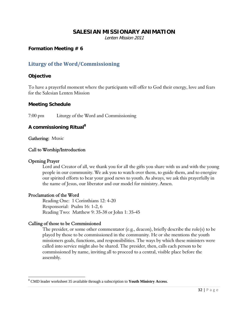# **SALESIAN MISSIONARY ANIMATION**

Lenten Mission 2011

#### **Formation Meeting # 6**

# **Liturgy of the Word/Commissioning**

#### **Objective**

To have a prayerful moment where the participants will offer to God their energy, love and fears for the Salesian Lenten Mission

#### **Meeting Schedule**

7:00 pm Liturgy of the Word and Commissioning

# **A commissioning Ritual8**

Gathering: Music

#### Call to Worship/Introduction

#### Opening Prayer

Lord and Creator of all, we thank you for all the gifts you share with us and with the young people in our community. We ask you to watch over them, to guide them, and to energize our spirited efforts to bear your good news to youth. As always, we ask this prayerfully in the name of Jesus, our liberator and our model for ministry. Amen.

#### Proclamation of the Word

Reading One: 1 Corinthians 12: 4-20 Responsorial: Psalm 16: 1-2, 6 Reading Two: Matthew 9: 35-38 or John 1: 35-45

#### Calling of those to be Commissioned

The presider, or some other commentator (e.g., deacon), briefly describe the role(s) to be played by those to be commissioned in the community. He or she mentions the youth missioners goals, functions, and responsibilities. The ways by which these ministers were called into service might also be shared. The presider, then, calls each person to be commissioned by name, inviting all to proceed to a central, visible place before the assembly.

<sup>8</sup> CMD leader worksheet 35 available through a subscription to **Youth Ministry Access**.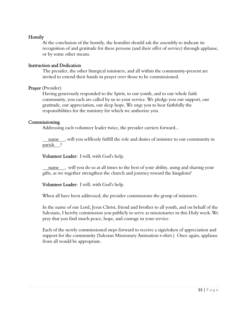#### Homily

At the conclusion of the homily, the homilist should ask the assembly to indicate its recognition of and gratitude for these persons (and their offer of service) through applause, or by some other means.

#### Instruction and Dedication

The presider, the other liturgical ministers, and all within the community-present are invited to extend their hands in prayer over those to be commissioned.

#### Prayer (Presider)

Having generously responded to the Spirit, to our youth, and to our whole faith community, you each are called by us to your service. We pledge you our support, our gratitude, our appreciation, our deep hope. We urge you to bear faithfully the responsibilities for the ministry for which we authorize you.

#### **Commissioning**

Addressing each volunteer leader twice, the presider carriers forward...

 name , will you selflessly fulfill the role and duties of minister to our community in parish ?

Volunteer Leader: I will, with God's help.

 name , will you do so at all times to the best of your ability, using and sharing your gifts, as we together strengthen the church and journey toward the kingdom?

#### Volunteer Leader: I will, with God's help.

When all have been addressed, the presider commissions the group of ministers.

In the name of our Lord, Jesus Christ, friend and brother to all youth, and on behalf of the Salesians, I hereby commission you publicly to serve as missionaries in this Holy week. We pray that you find much peace, hope, and courage in your service.

Each of the newly commissioned steps forward to receive a sign/token of appreciation and support for the community (Salesian Missionary Animation t-shirt.) Once again, applause from all would be appropriate.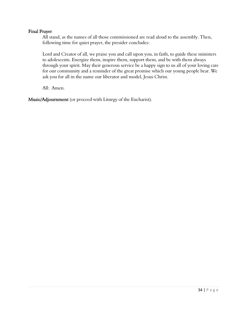#### Final Prayer

All stand, as the names of all those commissioned are read aloud to the assembly. Then, following time for quiet prayer, the presider concludes:

Lord and Creator of all, we praise you and call upon you, in faith, to guide these ministers to adolescents. Energize them, inspire them, support them, and be with them always through your spirit. May their generous service be a happy sign to us all of your loving care for our community and a reminder of the great promise which our young people bear. We ask you for all in the name our liberator and model, Jesus Christ.

All: Amen.

Music/Adjournment (or proceed with Liturgy of the Eucharist).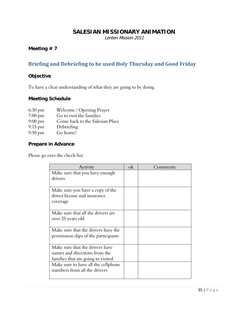# **SALESIAN MISSIONARY ANIMATION**

Lenten Mission 2011

# **Meeting # 7**

# **Briefing and Debriefing to be used Holy Thursday and Good Friday**

# **Objective**

To have a clear understanding of what they are going to be doing.

# **Meeting Schedule**

| $6:30 \text{ pm}$ | Welcome / Opening Prayer        |
|-------------------|---------------------------------|
| $7:00 \text{ pm}$ | Go to visit the families        |
| $9:00 \text{ pm}$ | Come back to the Salesian Place |
| $9:15 \text{ pm}$ | Debriefing                      |
| $9:30 \text{ pm}$ | Go home!                        |

## **Prepare in Advance**

Please go over the check list:

| Activity                             | ok | Comments) |
|--------------------------------------|----|-----------|
| Make sure that you have enough       |    |           |
| drivers                              |    |           |
|                                      |    |           |
| Make sure you have a copy of the     |    |           |
| driver license and insurance         |    |           |
| coverage                             |    |           |
|                                      |    |           |
| Make sure that all the drivers are   |    |           |
| over 25 years old                    |    |           |
|                                      |    |           |
| Make sure that the drivers have the  |    |           |
| permission slips of the participants |    |           |
|                                      |    |           |
| Make sure that the drivers have      |    |           |
| names and directions from the        |    |           |
| families that are going to visited   |    |           |
| Make sure to have all the cellphone  |    |           |
| numbers from all the drivers         |    |           |
|                                      |    |           |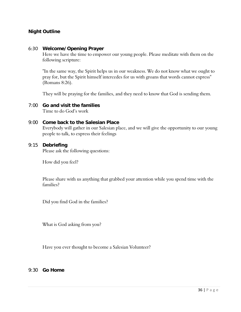# **Night Outline**

#### 6:30 **Welcome/Opening Prayer**

Here we have the time to empower our young people. Please meditate with them on the following scripture:

"In the same way, the Spirit helps us in our weakness. We do not know what we ought to pray for, but the Spirit himself intercedes for us with groans that words cannot express" (Romans 8:26).

They will be praying for the families, and they need to know that God is sending them.

#### 7:00 **Go and visit the families**  Time to do God's work

## 9:00 **Come back to the Salesian Place**

Everybody will gather in our Salesian place, and we will give the opportunity to our young people to talk, to express their feelings

#### 9:15 **Debriefing**

Please ask the following questions:

How did you feel?

Please share with us anything that grabbed your attention while you spend time with the families?

Did you find God in the families?

What is God asking from you?

Have you ever thought to become a Salesian Volunteer?

#### 9:30 **Go Home**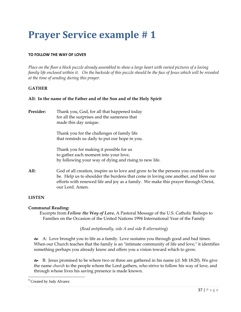# **Prayer Service example # 1**

#### **TO FOLLOW THE WAY OF LOVE9**

*Place on the floor a block puzzle already assembled to show a large heart with varied pictures of a loving family life enclosed within it. On the backside of this puzzle should be the face of Jesus which will be revealed at the time of sending during this prayer.* 

#### **GATHER**

#### **All: In the name of the Father and of the Son and of the Holy Spirit**

**Presider:** Thank you, God, for all that happened today for all the surprises and the sameness that made this day unique.

> Thank you for the challenges of family life that reminds us daily to put our hope in you.

 Thank you for making it possible for us to gather each moment into your love, by following your way of dying and rising to new life.

**All:** God of all creation, inspire us to love and grow to be the persons you created us to be. Help us to shoulder the burdens that come in loving one another, and bless our efforts with renewed life and joy as a family. We make this prayer through Christ, our Lord. Amen.

#### **LISTEN**

#### **Communal Reading:**

 Excerpts from *Follow the Way of Love*, A Pastoral Message of the U.S. Catholic Bishops to Families on the Occasion of the United Nations 1994 International Year of the Family

(*Read antiphonally, side A and side B alternatin*g)

 $\rightarrow$  A: Love brought you to life as a family. Love sustains you through good and bad times. When our Church teaches that the family is an "intimate community of life and love," it identifies something perhaps you already know and offers you a vision toward which to grow.

 $\rightarrow$  B: Jesus promised to be where two or three are gathered in his name (cf. Mt 18:20). We give the name *church* to the people whom the Lord gathers, who strive to follow his way of love, and through whose lives his saving presence is made known.

<sup>&</sup>lt;sup>9</sup> Created by Judy Alvarez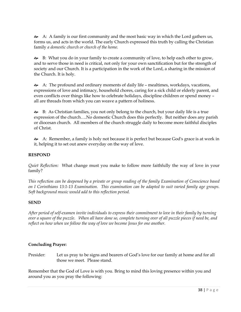$\rightarrow$  A: A family is our first community and the most basic way in which the Lord gathers us, forms us, and acts in the world. The early Church expressed this truth by calling the Christian family *a domestic church or church of the home.*

 $\rightarrow$  B: What you do in your family to create a community of love, to help each other to grow, and to serve those in need is critical, not only for your own sanctification but for the strength of society and our Church. It is a participation in the work of the Lord, a sharing in the mission of the Church. It is holy.

 $\rightarrow$  A: The profound and ordinary moments of daily life – mealtimes, workdays, vacations, expressions of love and intimacy, household chores, caring for a sick child or elderly parent, and even conflicts over things like how to celebrate holidays, discipline children or spend money – all are threads from which you can weave a pattern of holiness.

 $\sim$  B: As Christian families, you not only belong to the church, but your daily life is a true expression of the church….No domestic Church does this perfectly. But neither does any parish or diocesan church. All members of the church struggle daily to become more faithful disciples of Christ.

 $\rightarrow$  A: Remember, a family is holy not because it is perfect but because God's grace is at work in it, helping it to set out anew everyday on the way of love.

#### **RESPOND**

*Quiet Reflection:* What change must you make to follow more faithfully the way of love in your family?

*This reflection can be deepened by a private or group reading of the family Examination of Conscience based on I Corinthians 13:1-13 Examination. This examination can be adapted to suit varied family age groups. Soft background music would add to this reflection period.* 

#### **SEND**

*After period of self-examen invite individuals to express their commitment to love in their family by turning over a square of the puzzle. When all have done so, complete turning over of all puzzle pieces if need be, and reflect on how when we follow the way of love we become Jesus for one another.* 

#### **Concluding Prayer:**

Presider: Let us pray to be signs and bearers of God's love for our family at home and for all those we meet. Please stand.

Remember that the God of Love is with you. Bring to mind this loving presence within you and around you as you pray the following: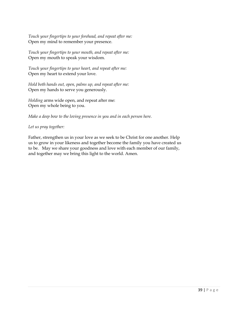*Touch your fingertips to your forehead, and repeat after me:*  Open my mind to remember your presence.

*Touch your fingertips to your mouth, and repeat after me:*  Open my mouth to speak your wisdom.

*Touch your fingertips to your heart, and repeat after me:*  Open my heart to extend your love.

*Hold both hands out, open, palms up, and repeat after me:*  Open my hands to serve you generously.

*Holding* arms wide open, and repeat after me: Open my whole being to you.

*Make a deep bow to the loving presence in you and in each person here.* 

*Let us pray together:* 

Father, strengthen us in your love as we seek to be Christ for one another. Help us to grow in your likeness and together become the family you have created us to be. May we share your goodness and love with each member of our family, and together may we bring this light to the world. Amen.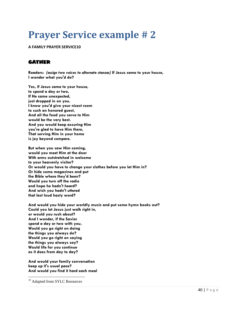# **Prayer Service example # 2**

**A FAMILY PRAYER SERVICE10**

## GATHER

**Readers:** *(assign two voices to alternate stanzas)* **If Jesus came to your house, I wonder what you'd do?** 

**Yes, if Jesus came to your house, to spend a day or two, If He came unexpected, just dropped in on you. I know you'd give your nicest room to such an honored guest, And all the food you serve to Him would be the very best. And you would keep assuring Him you're glad to have Him there, That serving Him in your home is joy beyond compare.** 

**But when you saw Him coming, would you meet Him at the door With arms outstretched in welcome to your heavenly visitor? Or would you have to change your clothes before you let Him in? Or hide some magazines and put the Bible where they'd been? Would you turn off the radio and hope he hadn't heard? And wish you hadn't uttered that last loud hasty word?** 

**And would you hide your worldly music and put some hymn books out? Could you let Jesus just walk right in, or would you rush about? And I wonder, if the Savior spend a day or two with you, Would you go right on doing the things you always do? Would you go right on saying the things you always say? Would life for you continue as it does from day to day?** 

**And would your family conversation keep up it's usual pace? And would you find it hard each meal** 

 <sup>10</sup> Adapted from SYLC Resources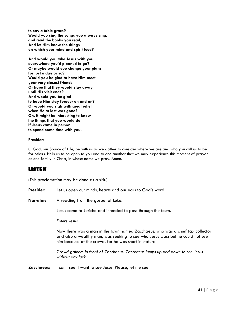**to say a table grace? Would you sing the songs you always sing, and read the books you read, And let Him know the things on which your mind and spirit feed?** 

**And would you take Jesus with you everywhere you'd planned to go? Or maybe would you change your plans for just a day or so? Would you be glad to have Him meet your very closest friends, Or hope that they would stay away until His visit ends? And would you be glad to have Him stay forever on and on? Or would you sigh with great relief when He at last was gone? Oh, it might be interesting to know the things that you would do, If Jesus came in person to spend some time with you.**

#### **Presider:**

O God, our Source of Life, be with us as we gather to consider where we are and who you call us to be for others. Help us to be open to you and to one another that we may experience this moment of prayer as one family in Christ, in whose name we pray. Amen.

#### LISTEN

(This proclamation may be done as a skit.)

Presider: Let us open our minds, hearts and our ears to God's word.

**Narrator:** A reading from the gospel of Luke.

Jesus came to Jericho and intended to pass through the town.

*Enters Jesus.* 

Now there was a man in the town named Zacchaeus, who was a chief tax collector and also a wealthy man, was seeking to see who Jesus was; but he could not see him because of the crowd, for he was short in stature.

*Crowd gathers in front of Zacchaeus. Zacchaeus jumps up and down to see Jesus without any luck.* 

**Zacchaeus:** I can't see! I want to see Jesus! Please, let me see!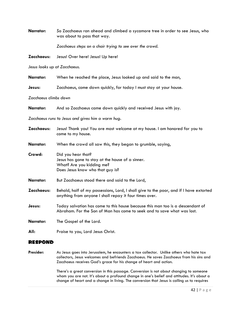**Narrator:** *S*o Zacchaeus ran ahead and climbed a sycamore tree in order to see Jesus, who was about to pass that way.

*Zacchaeus steps on a chair trying to see over the crowd.* 

**Zacchaeus:** Jesus! Over here! Jesus! Up here!

*Jesus looks up at Zacchaeus.* 

**Narrator:** When he reached the place, Jesus looked up and said to the man,

**Jesus:** Zacchaeus, come down quickly, for today I must stay at your house.

*Zacchaeus climbs down* 

**Narrator:** And so Zacchaeus came down quickly and received Jesus with joy.

*Zacchaeus runs to Jesus and gives him a warm hug.* 

- **Zacchaeus:** Jesus! Thank you! You are most welcome at my house. I am honored for you to come to my house.
- **Narrator:** When the crowd all saw this, they began to grumble, saying,

**Crowd:** Did you hear that? Jesus has gone to stay at the house of a sinner. What? Are you kidding me? Does Jesus know who that guy is?

**Narrator:** But Zacchaeus stood there and said to the Lord,

- **Zacchaeus:** Behold, half of my possessions, Lord, I shall give to the poor, and if I have extorted anything from anyone I shall repay it four times over.
- **Jesus:** Today salvation has come to this house because this man too is a descendant of Abraham. For the Son of Man has come to seek and to save what was lost.

**Narrator:** The Gospel of the Lord.

**All:** Praise to you, Lord Jesus Christ.

#### RESPOND

**Presider:** As Jesus goes into Jerusalem, he encounters a tax collector. Unlike others who hate tax collectors, Jesus welcomes and befriends Zacchaeus. He saves Zacchaeus from his sins and Zacchaeus receives God's grace for his change of heart and action.

> There's a great conversion in this passage. Conversion is not about changing to someone whom you are not. It's about a profound change in one's belief and attitudes. It's about a change of heart and a change in living. The conversion that Jesus is calling us to requires